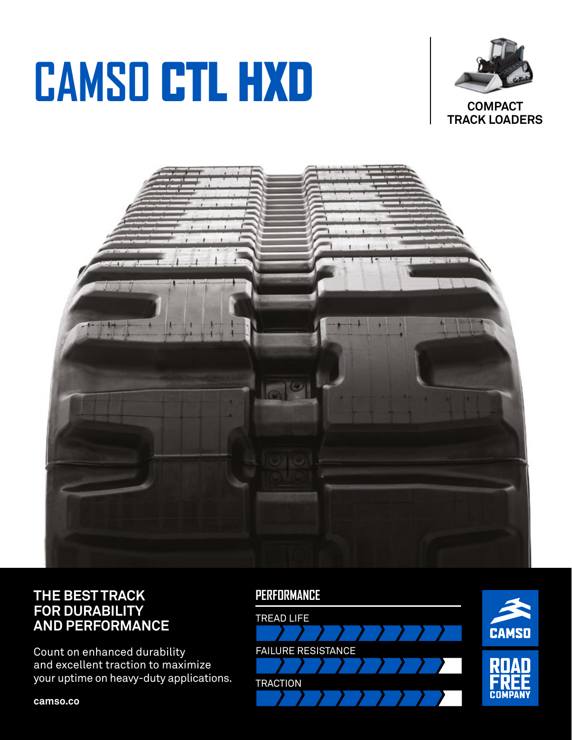# **CAMSO** CTL HXD



**COMPACT TRACK LOADERS** 



### **THE BEST TRACK FOR DURABILITY AND PERFORMANCE**

Count on enhanced durability and excellent traction to maximize your uptime on heavy-duty applications.

**camso.co**

#### **PERFORMANCE**